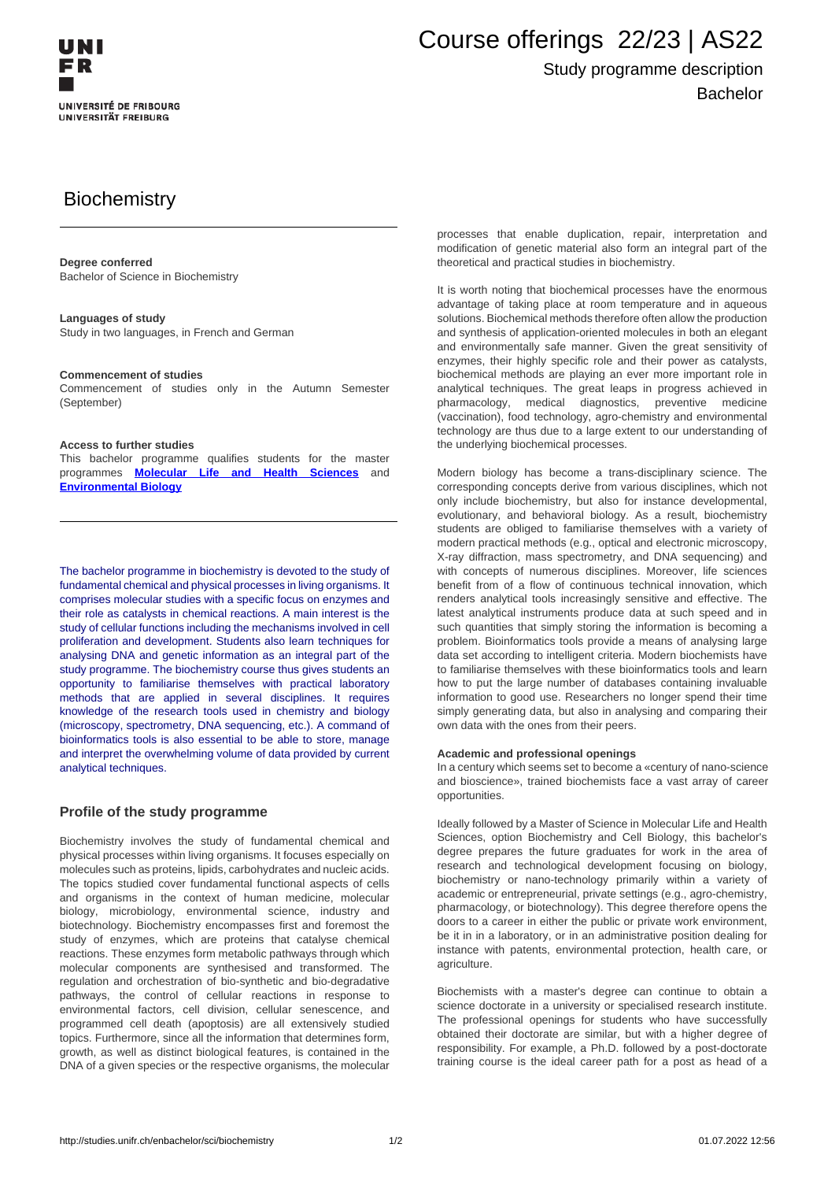

# Course offerings 22/23 | AS22

## Study programme description Bachelor

# **Biochemistry**

### **Degree conferred**

Bachelor of Science in Biochemistry

### **Languages of study**

Study in two languages, in French and German

### **Commencement of studies**

Commencement of studies only in the Autumn Semester (September)

### **Access to further studies**

This bachelor programme qualifies students for the master programmes **[Molecular Life and Health Sciences](http://studies.unifr.ch/en/master/sci/biochemistry)** and **Environmental Biology**

The bachelor programme in biochemistry is devoted to the study of fundamental chemical and physical processes in living organisms. It comprises molecular studies with a specific focus on enzymes and their role as catalysts in chemical reactions. A main interest is the study of cellular functions including the mechanisms involved in cell proliferation and development. Students also learn techniques for analysing DNA and genetic information as an integral part of the study programme. The biochemistry course thus gives students an opportunity to familiarise themselves with practical laboratory methods that are applied in several disciplines. It requires knowledge of the research tools used in chemistry and biology (microscopy, spectrometry, DNA sequencing, etc.). A command of bioinformatics tools is also essential to be able to store, manage and interpret the overwhelming volume of data provided by current analytical techniques.

### **Profile of the study programme**

Biochemistry involves the study of fundamental chemical and physical processes within living organisms. It focuses especially on molecules such as proteins, lipids, carbohydrates and nucleic acids. The topics studied cover fundamental functional aspects of cells and organisms in the context of human medicine, molecular biology, microbiology, environmental science, industry and biotechnology. Biochemistry encompasses first and foremost the study of enzymes, which are proteins that catalyse chemical reactions. These enzymes form metabolic pathways through which molecular components are synthesised and transformed. The regulation and orchestration of bio-synthetic and bio-degradative pathways, the control of cellular reactions in response to environmental factors, cell division, cellular senescence, and programmed cell death (apoptosis) are all extensively studied topics. Furthermore, since all the information that determines form, growth, as well as distinct biological features, is contained in the DNA of a given species or the respective organisms, the molecular

processes that enable duplication, repair, interpretation and modification of genetic material also form an integral part of the theoretical and practical studies in biochemistry.

It is worth noting that biochemical processes have the enormous advantage of taking place at room temperature and in aqueous solutions. Biochemical methods therefore often allow the production and synthesis of application-oriented molecules in both an elegant and environmentally safe manner. Given the great sensitivity of enzymes, their highly specific role and their power as catalysts, biochemical methods are playing an ever more important role in analytical techniques. The great leaps in progress achieved in pharmacology, medical diagnostics, preventive medicine (vaccination), food technology, agro-chemistry and environmental technology are thus due to a large extent to our understanding of the underlying biochemical processes.

Modern biology has become a trans-disciplinary science. The corresponding concepts derive from various disciplines, which not only include biochemistry, but also for instance developmental, evolutionary, and behavioral biology. As a result, biochemistry students are obliged to familiarise themselves with a variety of modern practical methods (e.g., optical and electronic microscopy, X-ray diffraction, mass spectrometry, and DNA sequencing) and with concepts of numerous disciplines. Moreover, life sciences benefit from of a flow of continuous technical innovation, which renders analytical tools increasingly sensitive and effective. The latest analytical instruments produce data at such speed and in such quantities that simply storing the information is becoming a problem. Bioinformatics tools provide a means of analysing large data set according to intelligent criteria. Modern biochemists have to familiarise themselves with these bioinformatics tools and learn how to put the large number of databases containing invaluable information to good use. Researchers no longer spend their time simply generating data, but also in analysing and comparing their own data with the ones from their peers.

#### **Academic and professional openings**

In a century which seems set to become a «century of nano-science and bioscience», trained biochemists face a vast array of career opportunities.

Ideally followed by a Master of Science in Molecular Life and Health Sciences, option Biochemistry and Cell Biology, this bachelor's degree prepares the future graduates for work in the area of research and technological development focusing on biology, biochemistry or nano-technology primarily within a variety of academic or entrepreneurial, private settings (e.g., agro-chemistry, pharmacology, or biotechnology). This degree therefore opens the doors to a career in either the public or private work environment, be it in in a laboratory, or in an administrative position dealing for instance with patents, environmental protection, health care, or agriculture.

Biochemists with a master's degree can continue to obtain a science doctorate in a university or specialised research institute. The professional openings for students who have successfully obtained their doctorate are similar, but with a higher degree of responsibility. For example, a Ph.D. followed by a post-doctorate training course is the ideal career path for a post as head of a